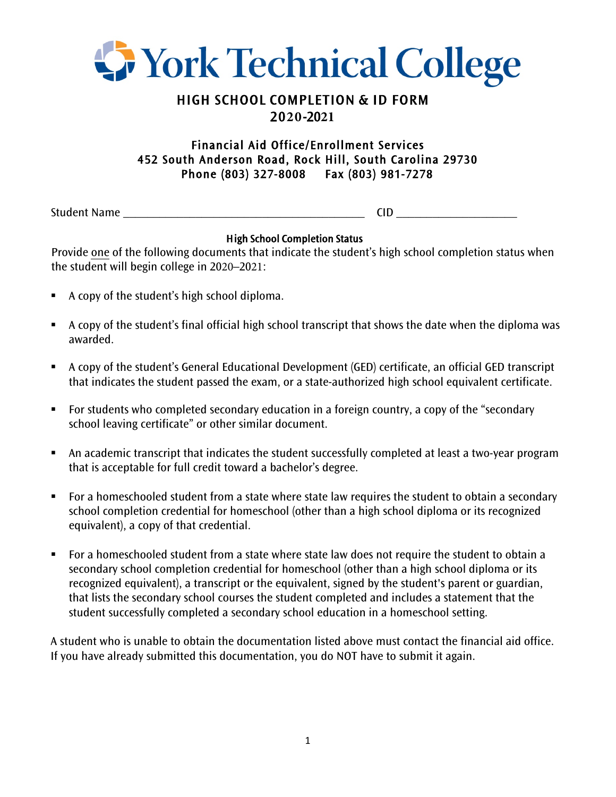

## HIGH SCHOOL COMPLETION & ID FORM 20**20**-20**21**

## Financial Aid Office/Enrollment Services 452 South Anderson Road, Rock Hill, South Carolina 29730 Phone (803) 327-8008 Fax (803) 981-7278

Student Name \_\_\_\_\_\_\_\_\_\_\_\_\_\_\_\_\_\_\_\_\_\_\_\_\_\_\_\_\_\_\_\_\_\_\_\_\_\_\_\_ CID \_\_\_\_\_\_\_\_\_\_\_\_\_\_\_\_\_\_\_\_

## High School Completion Status

Provide one of the following documents that indicate the student's high school completion status when the student will begin college in 2020–2021:

- A copy of the student's high school diploma.
- A copy of the student's final official high school transcript that shows the date when the diploma was awarded.
- § A copy of the student's General Educational Development (GED) certificate, an official GED transcript that indicates the student passed the exam, or a state-authorized high school equivalent certificate.
- For students who completed secondary education in a foreign country, a copy of the "secondary school leaving certificate" or other similar document.
- An academic transcript that indicates the student successfully completed at least a two-year program that is acceptable for full credit toward a bachelor's degree.
- For a homeschooled student from a state where state law requires the student to obtain a secondary school completion credential for homeschool (other than a high school diploma or its recognized equivalent), a copy of that credential.
- For a homeschooled student from a state where state law does not require the student to obtain a secondary school completion credential for homeschool (other than a high school diploma or its recognized equivalent), a transcript or the equivalent, signed by the student's parent or guardian, that lists the secondary school courses the student completed and includes a statement that the student successfully completed a secondary school education in a homeschool setting.

A student who is unable to obtain the documentation listed above must contact the financial aid office. If you have already submitted this documentation, you do NOT have to submit it again.